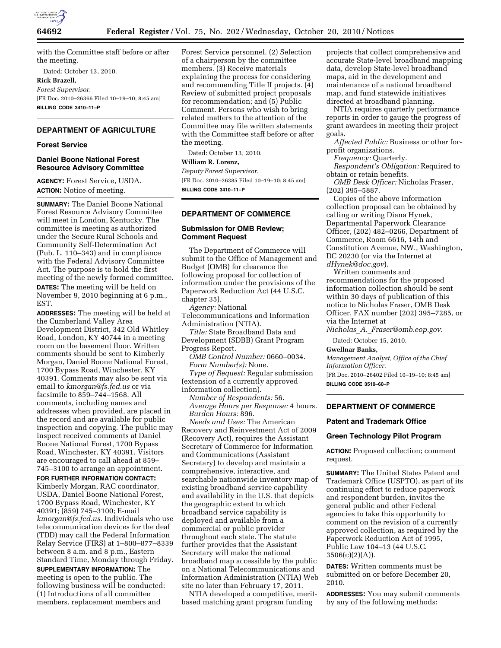

with the Committee staff before or after the meeting.

Dated: October 13, 2010.

# **Rick Brazell,**

*Forest Supervisor.*  [FR Doc. 2010–26366 Filed 10–19–10; 8:45 am] **BILLING CODE 3410–11–P** 

# **DEPARTMENT OF AGRICULTURE**

## **Forest Service**

#### **Daniel Boone National Forest Resource Advisory Committee**

**AGENCY:** Forest Service, USDA. **ACTION:** Notice of meeting.

**SUMMARY:** The Daniel Boone National Forest Resource Advisory Committee will meet in London, Kentucky. The committee is meeting as authorized under the Secure Rural Schools and Community Self-Determination Act (Pub. L. 110–343) and in compliance with the Federal Advisory Committee Act. The purpose is to hold the first meeting of the newly formed committee. **DATES:** The meeting will be held on November 9, 2010 beginning at 6 p.m., EST.

**ADDRESSES:** The meeting will be held at the Cumberland Valley Area Development District, 342 Old Whitley Road, London, KY 40744 in a meeting room on the basement floor. Written comments should be sent to Kimberly Morgan, Daniel Boone National Forest, 1700 Bypass Road, Winchester, KY 40391. Comments may also be sent via email to *[kmorgan@fs.fed.us](mailto:kmorgan@fs.fed.us)* or via facsimile to 859–744–1568. All comments, including names and addresses when provided, are placed in the record and are available for public inspection and copying. The public may inspect received comments at Daniel Boone National Forest, 1700 Bypass Road, Winchester, KY 40391. Visitors are encouraged to call ahead at 859– 745–3100 to arrange an appointment.

**FOR FURTHER INFORMATION CONTACT:**  Kimberly Morgan, RAC coordinator, USDA, Daniel Boone National Forest, 1700 Bypass Road, Winchester, KY 40391; (859) 745–3100; E-mail *[kmorgan@fs.fed.us.](mailto:kmorgan@fs.fed.us)* Individuals who use telecommunication devices for the deaf (TDD) may call the Federal Information Relay Service (FIRS) at 1–800–877–8339 between 8 a.m. and 8 p.m., Eastern Standard Time, Monday through Friday.

**SUPPLEMENTARY INFORMATION:** The meeting is open to the public. The following business will be conducted: (1) Introductions of all committee members, replacement members and

Forest Service personnel. (2) Selection of a chairperson by the committee members. (3) Receive materials explaining the process for considering and recommending Title II projects. (4) Review of submitted project proposals for recommendation; and (5) Public Comment. Persons who wish to bring related matters to the attention of the Committee may file written statements with the Committee staff before or after the meeting.

Dated: October 13, 2010.

## **William R. Lorenz,**

*Deputy Forest Supervisor.*  [FR Doc. 2010–26385 Filed 10–19–10; 8:45 am] **BILLING CODE 3410–11–P** 

## **DEPARTMENT OF COMMERCE**

# **Submission for OMB Review; Comment Request**

The Department of Commerce will submit to the Office of Management and Budget (OMB) for clearance the following proposal for collection of information under the provisions of the Paperwork Reduction Act (44 U.S.C. chapter 35).

*Agency:* National Telecommunications and Information Administration (NTIA).

*Title:* State Broadband Data and Development (SDBB) Grant Program Progress Report.

*OMB Control Number:* 0660–0034. *Form Number(s):* None. *Type of Request:* Regular submission

(extension of a currently approved information collection).

*Number of Respondents:* 56. *Average Hours per Response:* 4 hours. *Burden Hours:* 896.

*Needs and Uses:* The American Recovery and Reinvestment Act of 2009 (Recovery Act), requires the Assistant Secretary of Commerce for Information and Communications (Assistant Secretary) to develop and maintain a comprehensive, interactive, and searchable nationwide inventory map of existing broadband service capability and availability in the U.S. that depicts the geographic extent to which broadband service capability is deployed and available from a commercial or public provider throughout each state. The statute further provides that the Assistant Secretary will make the national broadband map accessible by the public on a National Telecommunications and Information Administration (NTIA) Web site no later than February 17, 2011.

NTIA developed a competitive, meritbased matching grant program funding

projects that collect comprehensive and accurate State-level broadband mapping data, develop State-level broadband maps, aid in the development and maintenance of a national broadband map, and fund statewide initiatives directed at broadband planning.

NTIA requires quarterly performance reports in order to gauge the progress of grant awardees in meeting their project goals.

*Affected Public:* Business or other forprofit organizations.

*Frequency:* Quarterly.

*Respondent's Obligation:* Required to obtain or retain benefits.

*OMB Desk Officer:* Nicholas Fraser, (202) 395–5887.

Copies of the above information collection proposal can be obtained by calling or writing Diana Hynek, Departmental Paperwork Clearance Officer, (202) 482–0266, Department of Commerce, Room 6616, 14th and Constitution Avenue, NW., Washington, DC 20230 (or via the Internet at *[dHynek@doc.gov](mailto:dHynek@doc.gov)*).

Written comments and recommendations for the proposed information collection should be sent within 30 days of publication of this notice to Nicholas Fraser, OMB Desk Officer, FAX number (202) 395–7285, or via the Internet at

*Nicholas*\_*A.*\_*[Fraser@omb.eop.gov.](mailto:Nicholas_A._Fraser@omb.eop.gov)* 

Dated: October 15, 2010.

**Gwellnar Banks,** 

*Management Analyst, Office of the Chief Information Officer.* 

[FR Doc. 2010–26402 Filed 10–19–10; 8:45 am] **BILLING CODE 3510–60–P** 

**DEPARTMENT OF COMMERCE** 

#### **Patent and Trademark Office**

#### **Green Technology Pilot Program**

**ACTION:** Proposed collection; comment request.

**SUMMARY:** The United States Patent and Trademark Office (USPTO), as part of its continuing effort to reduce paperwork and respondent burden, invites the general public and other Federal agencies to take this opportunity to comment on the revision of a currently approved collection, as required by the Paperwork Reduction Act of 1995, Public Law 104–13 (44 U.S.C.  $3506(c)(2)(A)$ .

**DATES:** Written comments must be submitted on or before December 20, 2010.

**ADDRESSES:** You may submit comments by any of the following methods: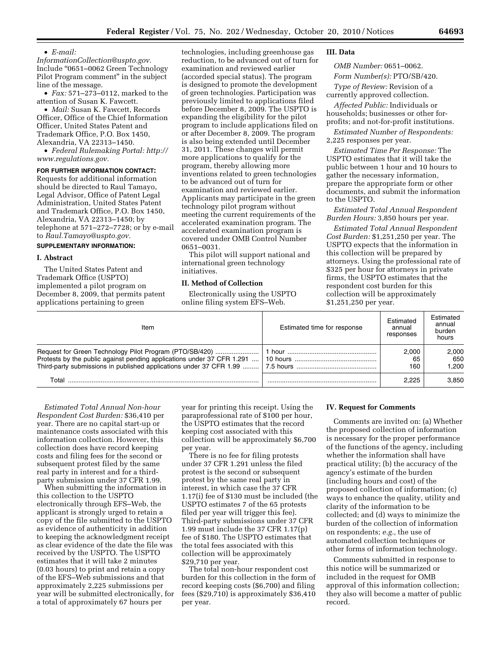#### • *E-mail:*

*[InformationCollection@uspto.gov.](mailto:InformationCollection@uspto.gov)*  Include ''0651–0062 Green Technology Pilot Program comment" in the subject line of the message.

• *Fax:* 571–273–0112, marked to the attention of Susan K. Fawcett.

• *Mail:* Susan K. Fawcett, Records Officer, Office of the Chief Information Officer, United States Patent and Trademark Office, P.O. Box 1450, Alexandria, VA 22313–1450.

• *Federal Rulemaking Portal: [http://](http://www.regulations.gov) [www.regulations.gov.](http://www.regulations.gov)* 

#### **FOR FURTHER INFORMATION CONTACT:**

Requests for additional information should be directed to Raul Tamayo, Legal Advisor, Office of Patent Legal Administration, United States Patent and Trademark Office, P.O. Box 1450, Alexandria, VA 22313–1450; by telephone at 571–272–7728; or by e-mail to *[Raul.Tamayo@uspto.gov.](mailto:Raul.Tamayo@uspto.gov)* 

#### **SUPPLEMENTARY INFORMATION:**

#### **I. Abstract**

The United States Patent and Trademark Office (USPTO) implemented a pilot program on December 8, 2009, that permits patent applications pertaining to green

technologies, including greenhouse gas reduction, to be advanced out of turn for examination and reviewed earlier (accorded special status). The program is designed to promote the development of green technologies. Participation was previously limited to applications filed before December 8, 2009. The USPTO is expanding the eligibility for the pilot program to include applications filed on or after December 8, 2009. The program is also being extended until December 31, 2011. These changes will permit more applications to qualify for the program, thereby allowing more inventions related to green technologies to be advanced out of turn for examination and reviewed earlier. Applicants may participate in the green technology pilot program without meeting the current requirements of the accelerated examination program. The accelerated examination program is covered under OMB Control Number 0651–0031.

This pilot will support national and international green technology initiatives.

#### **II. Method of Collection**

Electronically using the USPTO online filing system EFS–Web.

# **III. Data**

*OMB Number:* 0651–0062.

*Form Number(s):* PTO/SB/420.

*Type of Review:* Revision of a currently approved collection.

*Affected Public:* Individuals or households; businesses or other forprofits; and not-for-profit institutions.

*Estimated Number of Respondents:*  2,225 responses per year.

*Estimated Time Per Response:* The USPTO estimates that it will take the public between 1 hour and 10 hours to gather the necessary information, prepare the appropriate form or other documents, and submit the information to the USPTO.

*Estimated Total Annual Respondent Burden Hours:* 3,850 hours per year.

*Estimated Total Annual Respondent Cost Burden:* \$1,251,250 per year. The USPTO expects that the information in this collection will be prepared by attorneys. Using the professional rate of \$325 per hour for attorneys in private firms, the USPTO estimates that the respondent cost burden for this collection will be approximately \$1,251,250 per year.

| Item  | Estimated time for response | Estimated<br>annual<br>responses | Estimated<br>annual<br>burden<br>hours |
|-------|-----------------------------|----------------------------------|----------------------------------------|
|       |                             | 2.000<br>65<br>160               | 2.000<br>650<br>1.200                  |
| Total |                             | 2.225                            | 3.850                                  |

*Estimated Total Annual Non-hour Respondent Cost Burden:* \$36,410 per year. There are no capital start-up or maintenance costs associated with this information collection. However, this collection does have record keeping costs and filing fees for the second or subsequent protest filed by the same real party in interest and for a thirdparty submission under 37 CFR 1.99.

When submitting the information in this collection to the USPTO electronically through EFS–Web, the applicant is strongly urged to retain a copy of the file submitted to the USPTO as evidence of authenticity in addition to keeping the acknowledgment receipt as clear evidence of the date the file was received by the USPTO. The USPTO estimates that it will take 2 minutes (0.03 hours) to print and retain a copy of the EFS–Web submissions and that approximately 2,225 submissions per year will be submitted electronically, for a total of approximately 67 hours per

year for printing this receipt. Using the paraprofessional rate of \$100 per hour, the USPTO estimates that the record keeping cost associated with this collection will be approximately \$6,700 per year.

There is no fee for filing protests under 37 CFR 1.291 unless the filed protest is the second or subsequent protest by the same real party in interest, in which case the 37 CFR 1.17(i) fee of \$130 must be included (the USPTO estimates 7 of the 65 protests filed per year will trigger this fee). Third-party submissions under 37 CFR 1.99 must include the 37 CFR 1.17(p) fee of \$180. The USPTO estimates that the total fees associated with this collection will be approximately \$29,710 per year.

The total non-hour respondent cost burden for this collection in the form of record keeping costs (\$6,700) and filing fees (\$29,710) is approximately \$36,410 per year.

#### **IV. Request for Comments**

Comments are invited on: (a) Whether the proposed collection of information is necessary for the proper performance of the functions of the agency, including whether the information shall have practical utility; (b) the accuracy of the agency's estimate of the burden (including hours and cost) of the proposed collection of information; (c) ways to enhance the quality, utility and clarity of the information to be collected; and (d) ways to minimize the burden of the collection of information on respondents; *e.g.,* the use of automated collection techniques or other forms of information technology.

Comments submitted in response to this notice will be summarized or included in the request for OMB approval of this information collection; they also will become a matter of public record.